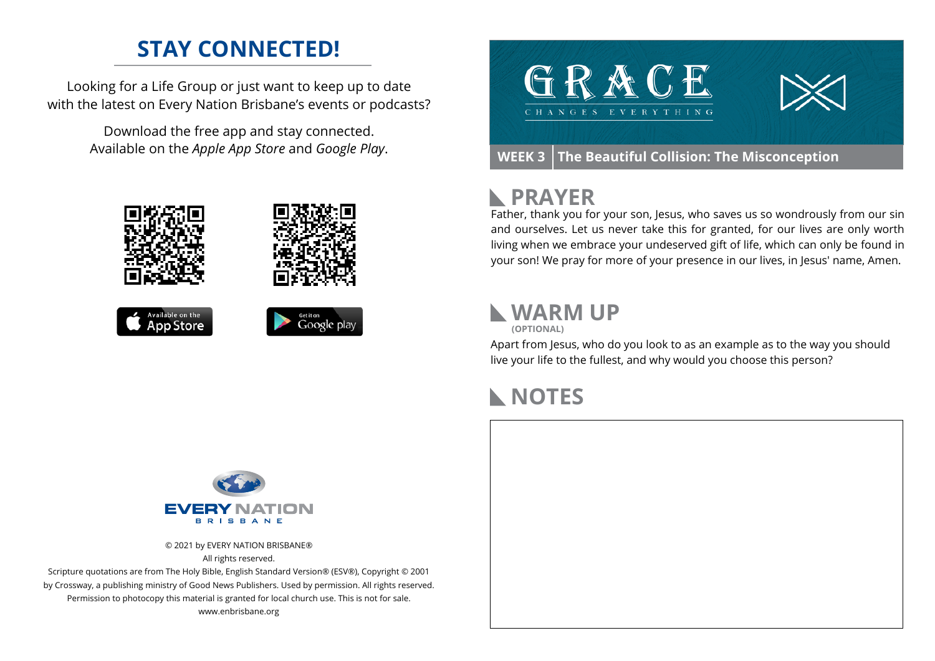## **STAY CONNECTED!**

Looking for a Life Group or just want to keep up to date with the latest on Every Nation Brisbane's events or podcasts?

> Download the free app and stay connected. Available on the *Apple App Store* and *Google Play*.





**WEEK 3 The Beautiful Collision: The Misconception**

### **PRAYER**

Father, thank you for your son, Jesus, who saves us so wondrously from our sin and ourselves. Let us never take this for granted, for our lives are only worth living when we embrace your undeserved gift of life, which can only be found in your son! We pray for more of your presence in our lives, in Jesus' name, Amen.

#### **WARM UP**

**(OPTIONAL)**

Apart from Jesus, who do you look to as an example as to the way you should live your life to the fullest, and why would you choose this person?

### **NOTES**



© 2021 by EVERY NATION BRISBANE® All rights reserved.

Scripture quotations are from The Holy Bible, English Standard Version® (ESV®), Copyright © 2001 by Crossway, a publishing ministry of Good News Publishers. Used by permission. All rights reserved. Permission to photocopy this material is granted for local church use. This is not for sale. www.enbrisbane.org